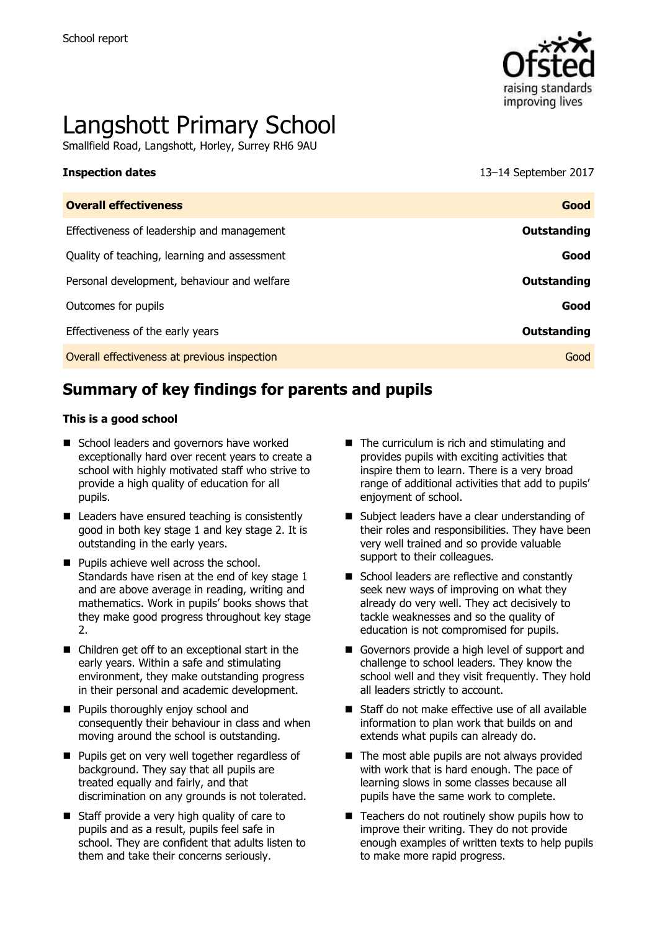

# Langshott Primary School

Smallfield Road, Langshott, Horley, Surrey RH6 9AU

**Inspection dates** 13–14 September 2017

| <b>Overall effectiveness</b>                 | Good               |
|----------------------------------------------|--------------------|
| Effectiveness of leadership and management   | Outstanding        |
| Quality of teaching, learning and assessment | Good               |
| Personal development, behaviour and welfare  | <b>Outstanding</b> |
| Outcomes for pupils                          | Good               |
| Effectiveness of the early years             | Outstanding        |
| Overall effectiveness at previous inspection | Good               |
|                                              |                    |

# **Summary of key findings for parents and pupils**

#### **This is a good school**

- School leaders and governors have worked exceptionally hard over recent years to create a school with highly motivated staff who strive to provide a high quality of education for all pupils.
- Leaders have ensured teaching is consistently good in both key stage 1 and key stage 2. It is outstanding in the early years.
- **Pupils achieve well across the school.** Standards have risen at the end of key stage 1 and are above average in reading, writing and mathematics. Work in pupils' books shows that they make good progress throughout key stage  $\mathcal{P}$
- Children get off to an exceptional start in the early years. Within a safe and stimulating environment, they make outstanding progress in their personal and academic development.
- **Pupils thoroughly enjoy school and** consequently their behaviour in class and when moving around the school is outstanding.
- **Pupils get on very well together regardless of** background. They say that all pupils are treated equally and fairly, and that discrimination on any grounds is not tolerated.
- Staff provide a very high quality of care to pupils and as a result, pupils feel safe in school. They are confident that adults listen to them and take their concerns seriously.
- $\blacksquare$  The curriculum is rich and stimulating and provides pupils with exciting activities that inspire them to learn. There is a very broad range of additional activities that add to pupils' enjoyment of school.
- Subject leaders have a clear understanding of their roles and responsibilities. They have been very well trained and so provide valuable support to their colleagues.
- School leaders are reflective and constantly seek new ways of improving on what they already do very well. They act decisively to tackle weaknesses and so the quality of education is not compromised for pupils.
- Governors provide a high level of support and challenge to school leaders. They know the school well and they visit frequently. They hold all leaders strictly to account.
- Staff do not make effective use of all available information to plan work that builds on and extends what pupils can already do.
- $\blacksquare$  The most able pupils are not always provided with work that is hard enough. The pace of learning slows in some classes because all pupils have the same work to complete.
- $\blacksquare$  Teachers do not routinely show pupils how to improve their writing. They do not provide enough examples of written texts to help pupils to make more rapid progress.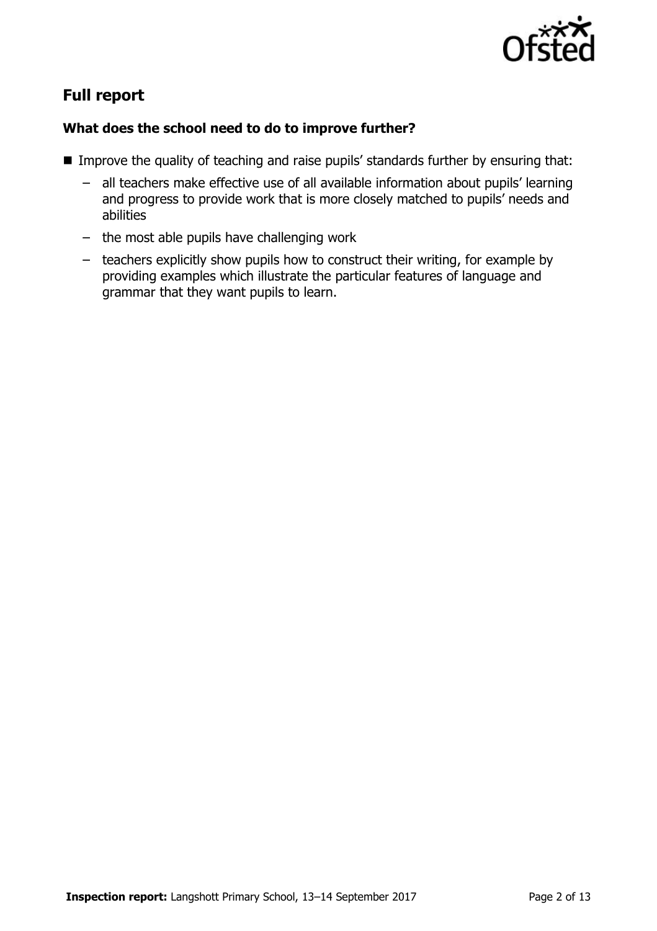

# **Full report**

### **What does the school need to do to improve further?**

- **IMPROVE the quality of teaching and raise pupils' standards further by ensuring that:** 
	- all teachers make effective use of all available information about pupils' learning and progress to provide work that is more closely matched to pupils' needs and abilities
	- the most able pupils have challenging work
	- teachers explicitly show pupils how to construct their writing, for example by providing examples which illustrate the particular features of language and grammar that they want pupils to learn.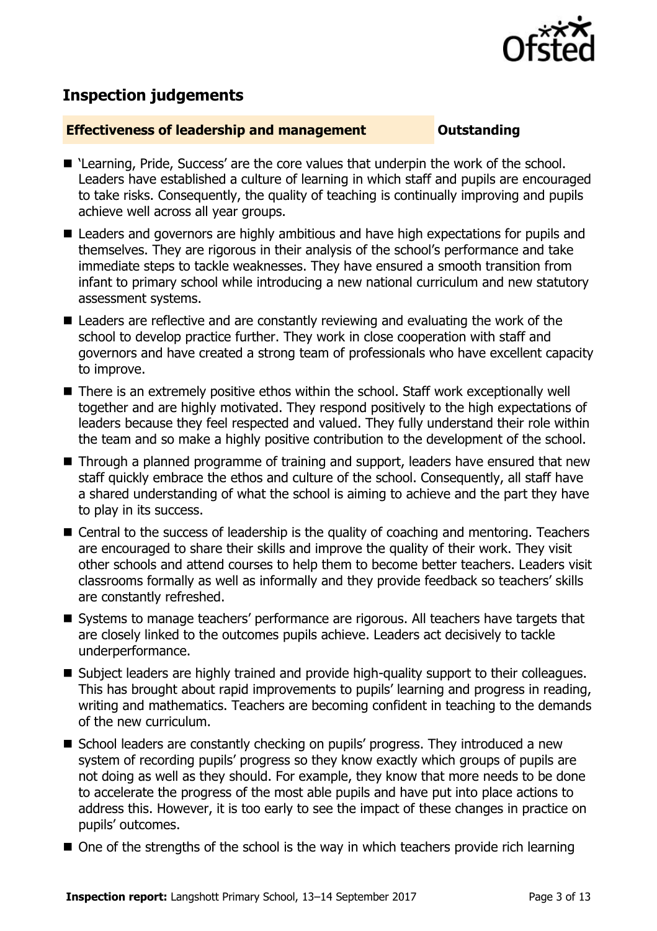

# **Inspection judgements**

#### **Effectiveness of leadership and management Constanding**

- 'Learning, Pride, Success' are the core values that underpin the work of the school. Leaders have established a culture of learning in which staff and pupils are encouraged to take risks. Consequently, the quality of teaching is continually improving and pupils achieve well across all year groups.
- Leaders and governors are highly ambitious and have high expectations for pupils and themselves. They are rigorous in their analysis of the school's performance and take immediate steps to tackle weaknesses. They have ensured a smooth transition from infant to primary school while introducing a new national curriculum and new statutory assessment systems.
- Leaders are reflective and are constantly reviewing and evaluating the work of the school to develop practice further. They work in close cooperation with staff and governors and have created a strong team of professionals who have excellent capacity to improve.
- There is an extremely positive ethos within the school. Staff work exceptionally well together and are highly motivated. They respond positively to the high expectations of leaders because they feel respected and valued. They fully understand their role within the team and so make a highly positive contribution to the development of the school.
- Through a planned programme of training and support, leaders have ensured that new staff quickly embrace the ethos and culture of the school. Consequently, all staff have a shared understanding of what the school is aiming to achieve and the part they have to play in its success.
- Central to the success of leadership is the quality of coaching and mentoring. Teachers are encouraged to share their skills and improve the quality of their work. They visit other schools and attend courses to help them to become better teachers. Leaders visit classrooms formally as well as informally and they provide feedback so teachers' skills are constantly refreshed.
- Systems to manage teachers' performance are rigorous. All teachers have targets that are closely linked to the outcomes pupils achieve. Leaders act decisively to tackle underperformance.
- Subject leaders are highly trained and provide high-quality support to their colleagues. This has brought about rapid improvements to pupils' learning and progress in reading, writing and mathematics. Teachers are becoming confident in teaching to the demands of the new curriculum.
- School leaders are constantly checking on pupils' progress. They introduced a new system of recording pupils' progress so they know exactly which groups of pupils are not doing as well as they should. For example, they know that more needs to be done to accelerate the progress of the most able pupils and have put into place actions to address this. However, it is too early to see the impact of these changes in practice on pupils' outcomes.
- $\blacksquare$  One of the strengths of the school is the way in which teachers provide rich learning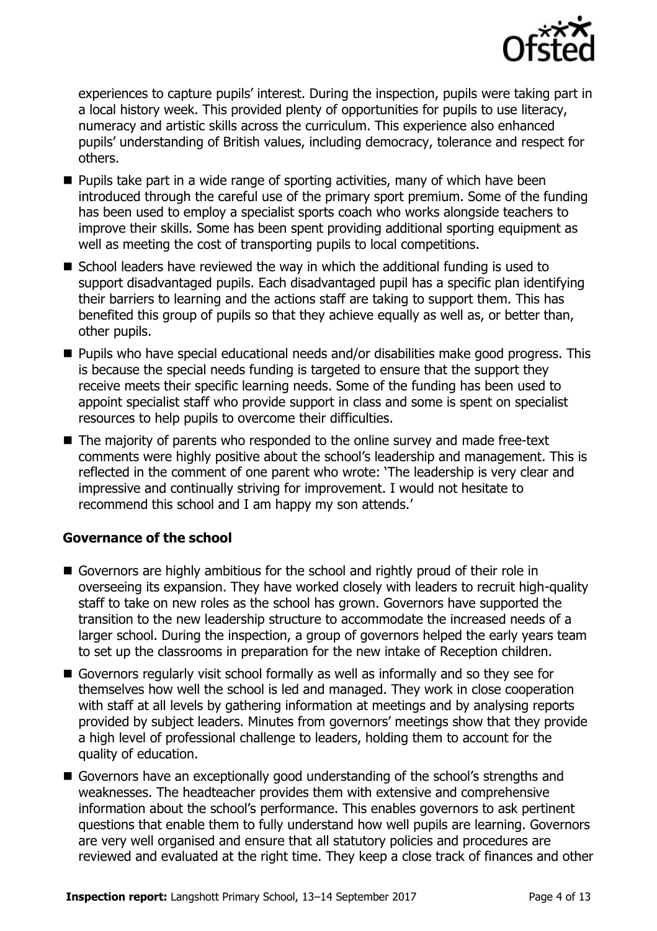

experiences to capture pupils' interest. During the inspection, pupils were taking part in a local history week. This provided plenty of opportunities for pupils to use literacy, numeracy and artistic skills across the curriculum. This experience also enhanced pupils' understanding of British values, including democracy, tolerance and respect for others.

- $\blacksquare$  Pupils take part in a wide range of sporting activities, many of which have been introduced through the careful use of the primary sport premium. Some of the funding has been used to employ a specialist sports coach who works alongside teachers to improve their skills. Some has been spent providing additional sporting equipment as well as meeting the cost of transporting pupils to local competitions.
- $\blacksquare$  School leaders have reviewed the way in which the additional funding is used to support disadvantaged pupils. Each disadvantaged pupil has a specific plan identifying their barriers to learning and the actions staff are taking to support them. This has benefited this group of pupils so that they achieve equally as well as, or better than, other pupils.
- Pupils who have special educational needs and/or disabilities make good progress. This is because the special needs funding is targeted to ensure that the support they receive meets their specific learning needs. Some of the funding has been used to appoint specialist staff who provide support in class and some is spent on specialist resources to help pupils to overcome their difficulties.
- The majority of parents who responded to the online survey and made free-text comments were highly positive about the school's leadership and management. This is reflected in the comment of one parent who wrote: 'The leadership is very clear and impressive and continually striving for improvement. I would not hesitate to recommend this school and I am happy my son attends.'

### **Governance of the school**

- Governors are highly ambitious for the school and rightly proud of their role in overseeing its expansion. They have worked closely with leaders to recruit high-quality staff to take on new roles as the school has grown. Governors have supported the transition to the new leadership structure to accommodate the increased needs of a larger school. During the inspection, a group of governors helped the early years team to set up the classrooms in preparation for the new intake of Reception children.
- Governors regularly visit school formally as well as informally and so they see for themselves how well the school is led and managed. They work in close cooperation with staff at all levels by gathering information at meetings and by analysing reports provided by subject leaders. Minutes from governors' meetings show that they provide a high level of professional challenge to leaders, holding them to account for the quality of education.
- Governors have an exceptionally good understanding of the school's strengths and weaknesses. The headteacher provides them with extensive and comprehensive information about the school's performance. This enables governors to ask pertinent questions that enable them to fully understand how well pupils are learning. Governors are very well organised and ensure that all statutory policies and procedures are reviewed and evaluated at the right time. They keep a close track of finances and other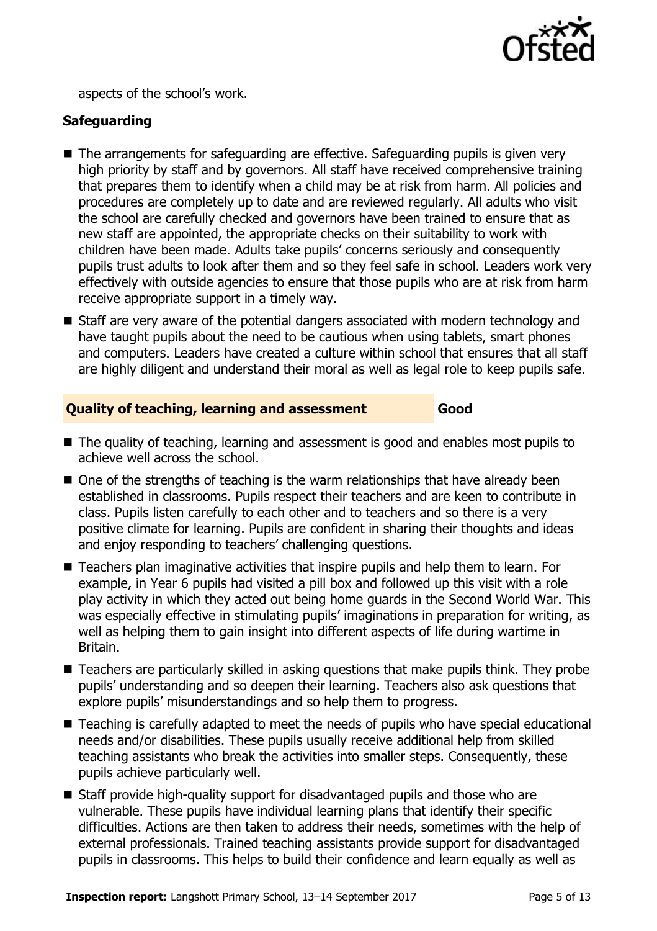

aspects of the school's work.

### **Safeguarding**

- The arrangements for safeguarding are effective. Safeguarding pupils is given very high priority by staff and by governors. All staff have received comprehensive training that prepares them to identify when a child may be at risk from harm. All policies and procedures are completely up to date and are reviewed regularly. All adults who visit the school are carefully checked and governors have been trained to ensure that as new staff are appointed, the appropriate checks on their suitability to work with children have been made. Adults take pupils' concerns seriously and consequently pupils trust adults to look after them and so they feel safe in school. Leaders work very effectively with outside agencies to ensure that those pupils who are at risk from harm receive appropriate support in a timely way.
- Staff are very aware of the potential dangers associated with modern technology and have taught pupils about the need to be cautious when using tablets, smart phones and computers. Leaders have created a culture within school that ensures that all staff are highly diligent and understand their moral as well as legal role to keep pupils safe.

#### **Quality of teaching, learning and assessment Good**

- The quality of teaching, learning and assessment is good and enables most pupils to achieve well across the school.
- $\blacksquare$  One of the strengths of teaching is the warm relationships that have already been established in classrooms. Pupils respect their teachers and are keen to contribute in class. Pupils listen carefully to each other and to teachers and so there is a very positive climate for learning. Pupils are confident in sharing their thoughts and ideas and enjoy responding to teachers' challenging questions.
- Teachers plan imaginative activities that inspire pupils and help them to learn. For example, in Year 6 pupils had visited a pill box and followed up this visit with a role play activity in which they acted out being home guards in the Second World War. This was especially effective in stimulating pupils' imaginations in preparation for writing, as well as helping them to gain insight into different aspects of life during wartime in Britain.
- Teachers are particularly skilled in asking questions that make pupils think. They probe pupils' understanding and so deepen their learning. Teachers also ask questions that explore pupils' misunderstandings and so help them to progress.
- Teaching is carefully adapted to meet the needs of pupils who have special educational needs and/or disabilities. These pupils usually receive additional help from skilled teaching assistants who break the activities into smaller steps. Consequently, these pupils achieve particularly well.
- Staff provide high-quality support for disadvantaged pupils and those who are vulnerable. These pupils have individual learning plans that identify their specific difficulties. Actions are then taken to address their needs, sometimes with the help of external professionals. Trained teaching assistants provide support for disadvantaged pupils in classrooms. This helps to build their confidence and learn equally as well as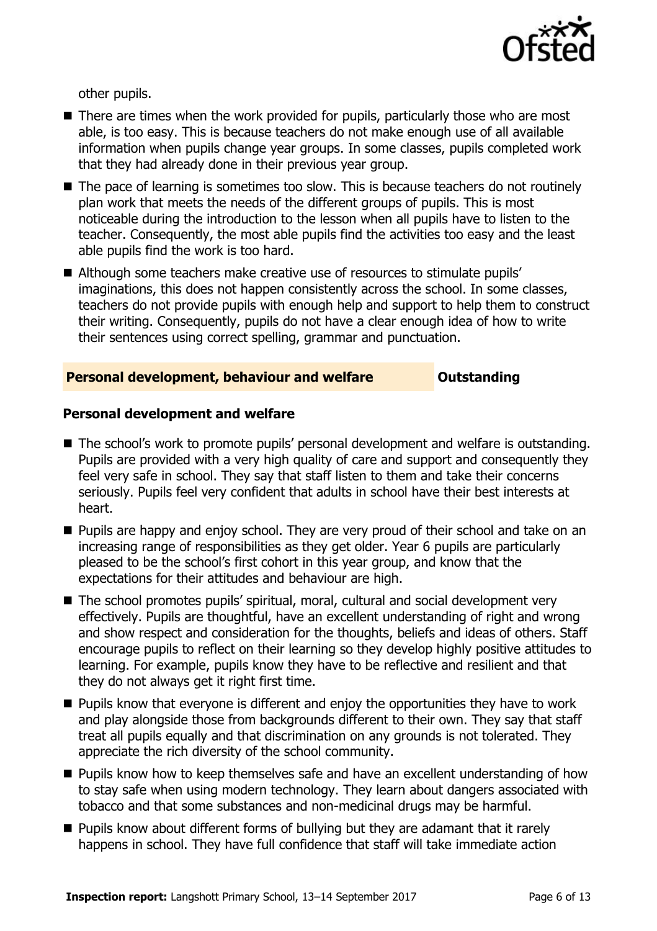

other pupils.

- There are times when the work provided for pupils, particularly those who are most able, is too easy. This is because teachers do not make enough use of all available information when pupils change year groups. In some classes, pupils completed work that they had already done in their previous year group.
- The pace of learning is sometimes too slow. This is because teachers do not routinely plan work that meets the needs of the different groups of pupils. This is most noticeable during the introduction to the lesson when all pupils have to listen to the teacher. Consequently, the most able pupils find the activities too easy and the least able pupils find the work is too hard.
- Although some teachers make creative use of resources to stimulate pupils' imaginations, this does not happen consistently across the school. In some classes, teachers do not provide pupils with enough help and support to help them to construct their writing. Consequently, pupils do not have a clear enough idea of how to write their sentences using correct spelling, grammar and punctuation.

#### **Personal development, behaviour and welfare <b>COUTS** Outstanding

#### **Personal development and welfare**

- The school's work to promote pupils' personal development and welfare is outstanding. Pupils are provided with a very high quality of care and support and consequently they feel very safe in school. They say that staff listen to them and take their concerns seriously. Pupils feel very confident that adults in school have their best interests at heart.
- **Pupils are happy and enjoy school. They are very proud of their school and take on an** increasing range of responsibilities as they get older. Year 6 pupils are particularly pleased to be the school's first cohort in this year group, and know that the expectations for their attitudes and behaviour are high.
- The school promotes pupils' spiritual, moral, cultural and social development very effectively. Pupils are thoughtful, have an excellent understanding of right and wrong and show respect and consideration for the thoughts, beliefs and ideas of others. Staff encourage pupils to reflect on their learning so they develop highly positive attitudes to learning. For example, pupils know they have to be reflective and resilient and that they do not always get it right first time.
- **Pupils know that everyone is different and enjoy the opportunities they have to work** and play alongside those from backgrounds different to their own. They say that staff treat all pupils equally and that discrimination on any grounds is not tolerated. They appreciate the rich diversity of the school community.
- **Pupils know how to keep themselves safe and have an excellent understanding of how** to stay safe when using modern technology. They learn about dangers associated with tobacco and that some substances and non-medicinal drugs may be harmful.
- $\blacksquare$  Pupils know about different forms of bullying but they are adamant that it rarely happens in school. They have full confidence that staff will take immediate action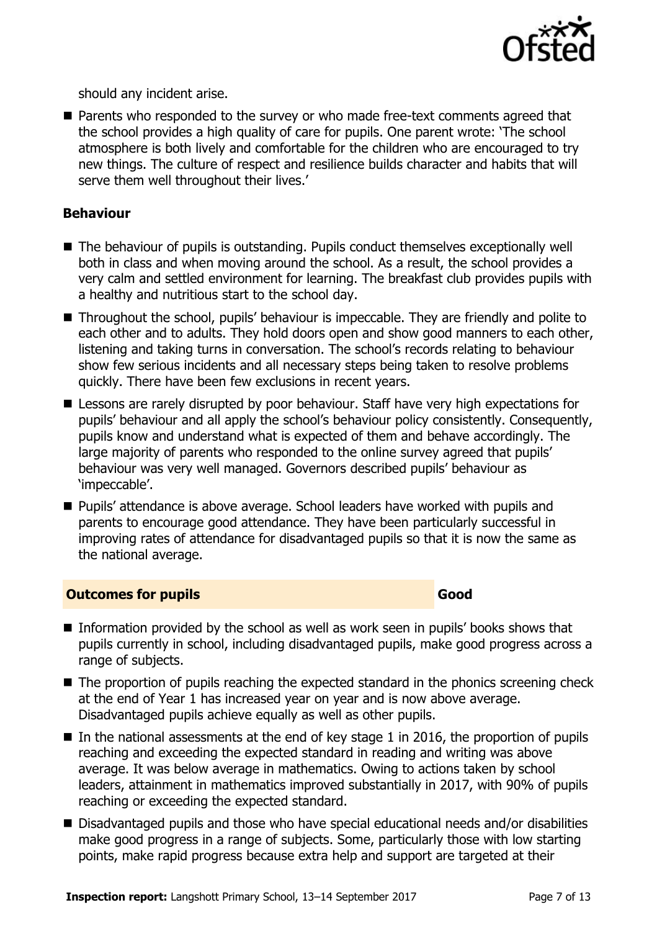

should any incident arise.

■ Parents who responded to the survey or who made free-text comments agreed that the school provides a high quality of care for pupils. One parent wrote: 'The school atmosphere is both lively and comfortable for the children who are encouraged to try new things. The culture of respect and resilience builds character and habits that will serve them well throughout their lives.'

#### **Behaviour**

- The behaviour of pupils is outstanding. Pupils conduct themselves exceptionally well both in class and when moving around the school. As a result, the school provides a very calm and settled environment for learning. The breakfast club provides pupils with a healthy and nutritious start to the school day.
- Throughout the school, pupils' behaviour is impeccable. They are friendly and polite to each other and to adults. They hold doors open and show good manners to each other, listening and taking turns in conversation. The school's records relating to behaviour show few serious incidents and all necessary steps being taken to resolve problems quickly. There have been few exclusions in recent years.
- **E** Lessons are rarely disrupted by poor behaviour. Staff have very high expectations for pupils' behaviour and all apply the school's behaviour policy consistently. Consequently, pupils know and understand what is expected of them and behave accordingly. The large majority of parents who responded to the online survey agreed that pupils' behaviour was very well managed. Governors described pupils' behaviour as 'impeccable'.
- Pupils' attendance is above average. School leaders have worked with pupils and parents to encourage good attendance. They have been particularly successful in improving rates of attendance for disadvantaged pupils so that it is now the same as the national average.

#### **Outcomes for pupils Good Good**

- Information provided by the school as well as work seen in pupils' books shows that pupils currently in school, including disadvantaged pupils, make good progress across a range of subjects.
- The proportion of pupils reaching the expected standard in the phonics screening check at the end of Year 1 has increased year on year and is now above average. Disadvantaged pupils achieve equally as well as other pupils.
- In the national assessments at the end of key stage 1 in 2016, the proportion of pupils reaching and exceeding the expected standard in reading and writing was above average. It was below average in mathematics. Owing to actions taken by school leaders, attainment in mathematics improved substantially in 2017, with 90% of pupils reaching or exceeding the expected standard.
- Disadvantaged pupils and those who have special educational needs and/or disabilities make good progress in a range of subjects. Some, particularly those with low starting points, make rapid progress because extra help and support are targeted at their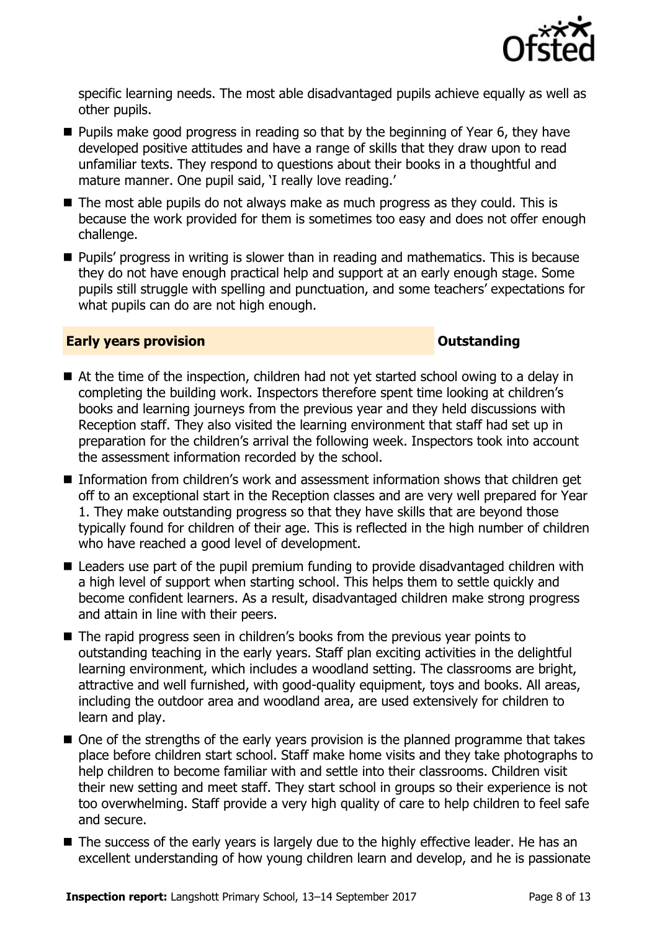

specific learning needs. The most able disadvantaged pupils achieve equally as well as other pupils.

- **Pupils make good progress in reading so that by the beginning of Year 6, they have** developed positive attitudes and have a range of skills that they draw upon to read unfamiliar texts. They respond to questions about their books in a thoughtful and mature manner. One pupil said, 'I really love reading.'
- The most able pupils do not always make as much progress as they could. This is because the work provided for them is sometimes too easy and does not offer enough challenge.
- **Pupils' progress in writing is slower than in reading and mathematics. This is because** they do not have enough practical help and support at an early enough stage. Some pupils still struggle with spelling and punctuation, and some teachers' expectations for what pupils can do are not high enough.

#### **Early years provision CONSTANDING TO A RESEARCH CONSTANDING TO A RESEARCH CONSTANDING TO A RESEARCH CONSTANDING TO A RESEARCH CONSTANDING TO A RESEARCH CONSTANDING TO A RESEARCH CONSTANDING TO A RESEARCH CONSTANDING TO**

- At the time of the inspection, children had not yet started school owing to a delay in completing the building work. Inspectors therefore spent time looking at children's books and learning journeys from the previous year and they held discussions with Reception staff. They also visited the learning environment that staff had set up in preparation for the children's arrival the following week. Inspectors took into account the assessment information recorded by the school.
- Information from children's work and assessment information shows that children get off to an exceptional start in the Reception classes and are very well prepared for Year 1. They make outstanding progress so that they have skills that are beyond those typically found for children of their age. This is reflected in the high number of children who have reached a good level of development.
- Leaders use part of the pupil premium funding to provide disadvantaged children with a high level of support when starting school. This helps them to settle quickly and become confident learners. As a result, disadvantaged children make strong progress and attain in line with their peers.
- The rapid progress seen in children's books from the previous year points to outstanding teaching in the early years. Staff plan exciting activities in the delightful learning environment, which includes a woodland setting. The classrooms are bright, attractive and well furnished, with good-quality equipment, toys and books. All areas, including the outdoor area and woodland area, are used extensively for children to learn and play.
- One of the strengths of the early years provision is the planned programme that takes place before children start school. Staff make home visits and they take photographs to help children to become familiar with and settle into their classrooms. Children visit their new setting and meet staff. They start school in groups so their experience is not too overwhelming. Staff provide a very high quality of care to help children to feel safe and secure.
- The success of the early years is largely due to the highly effective leader. He has an excellent understanding of how young children learn and develop, and he is passionate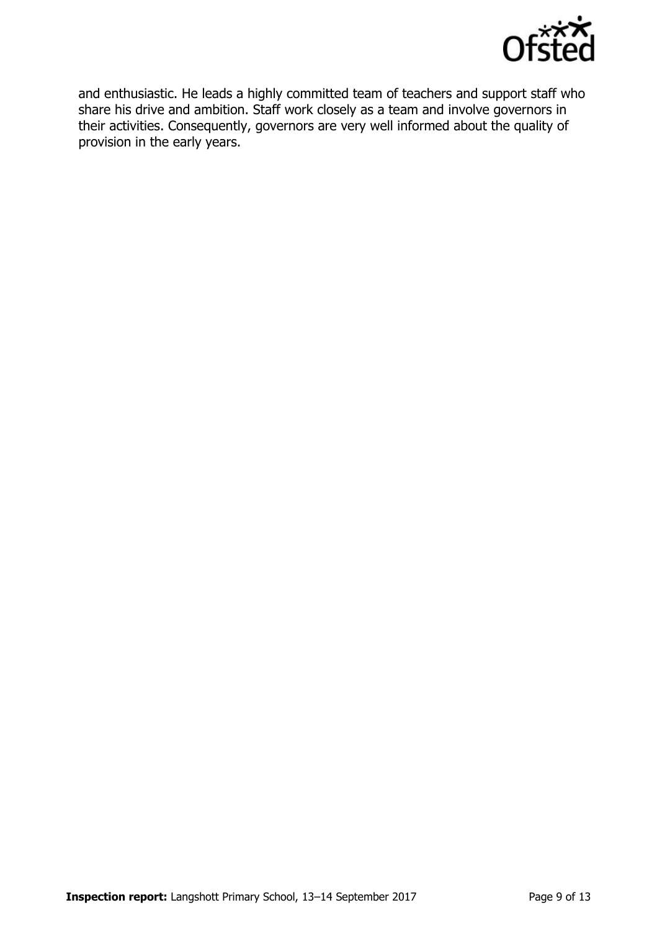

and enthusiastic. He leads a highly committed team of teachers and support staff who share his drive and ambition. Staff work closely as a team and involve governors in their activities. Consequently, governors are very well informed about the quality of provision in the early years.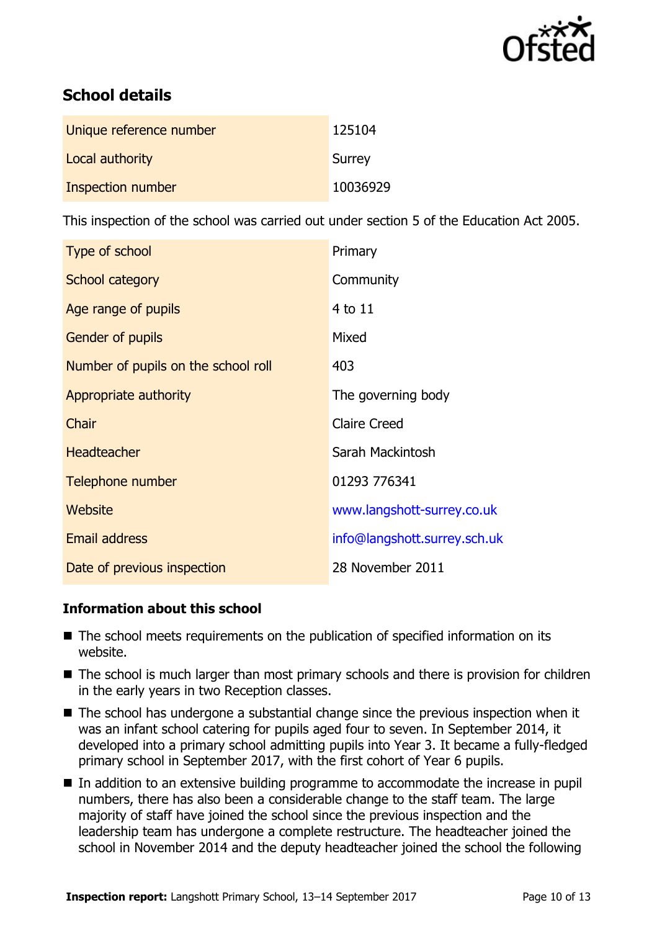

# **School details**

| Unique reference number | 125104   |
|-------------------------|----------|
| Local authority         | Surrey   |
| Inspection number       | 10036929 |

This inspection of the school was carried out under section 5 of the Education Act 2005.

| Type of school                      | Primary                      |
|-------------------------------------|------------------------------|
| School category                     | Community                    |
| Age range of pupils                 | 4 to 11                      |
| Gender of pupils                    | Mixed                        |
| Number of pupils on the school roll | 403                          |
| Appropriate authority               | The governing body           |
| Chair                               | <b>Claire Creed</b>          |
| <b>Headteacher</b>                  | Sarah Mackintosh             |
| Telephone number                    | 01293 776341                 |
| Website                             | www.langshott-surrey.co.uk   |
| <b>Email address</b>                | info@langshott.surrey.sch.uk |
| Date of previous inspection         | 28 November 2011             |

### **Information about this school**

- The school meets requirements on the publication of specified information on its website.
- The school is much larger than most primary schools and there is provision for children in the early years in two Reception classes.
- The school has undergone a substantial change since the previous inspection when it was an infant school catering for pupils aged four to seven. In September 2014, it developed into a primary school admitting pupils into Year 3. It became a fully-fledged primary school in September 2017, with the first cohort of Year 6 pupils.
- In addition to an extensive building programme to accommodate the increase in pupil numbers, there has also been a considerable change to the staff team. The large majority of staff have joined the school since the previous inspection and the leadership team has undergone a complete restructure. The headteacher joined the school in November 2014 and the deputy headteacher joined the school the following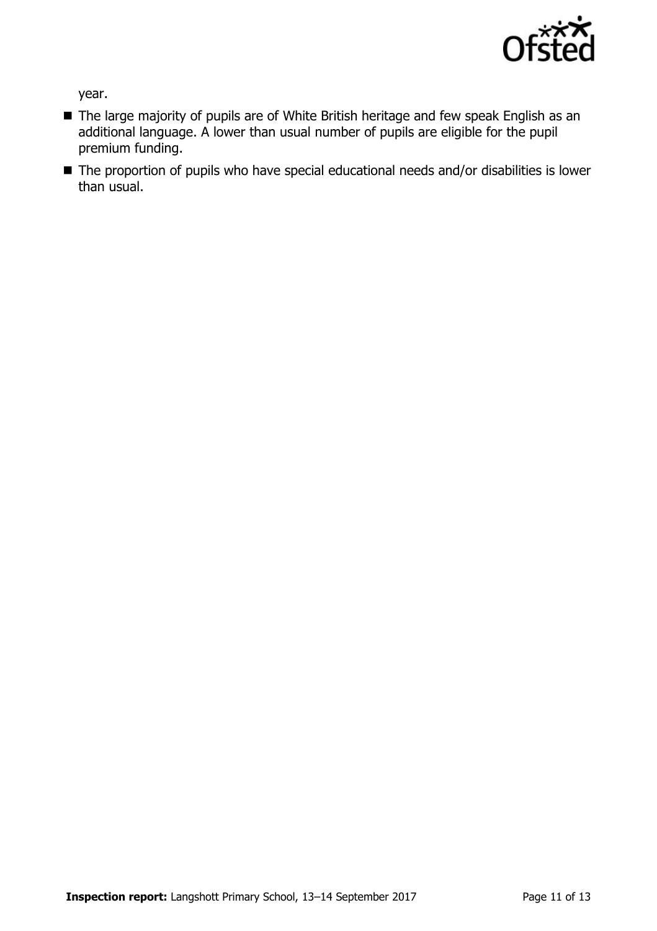

year.

- The large majority of pupils are of White British heritage and few speak English as an additional language. A lower than usual number of pupils are eligible for the pupil premium funding.
- The proportion of pupils who have special educational needs and/or disabilities is lower than usual.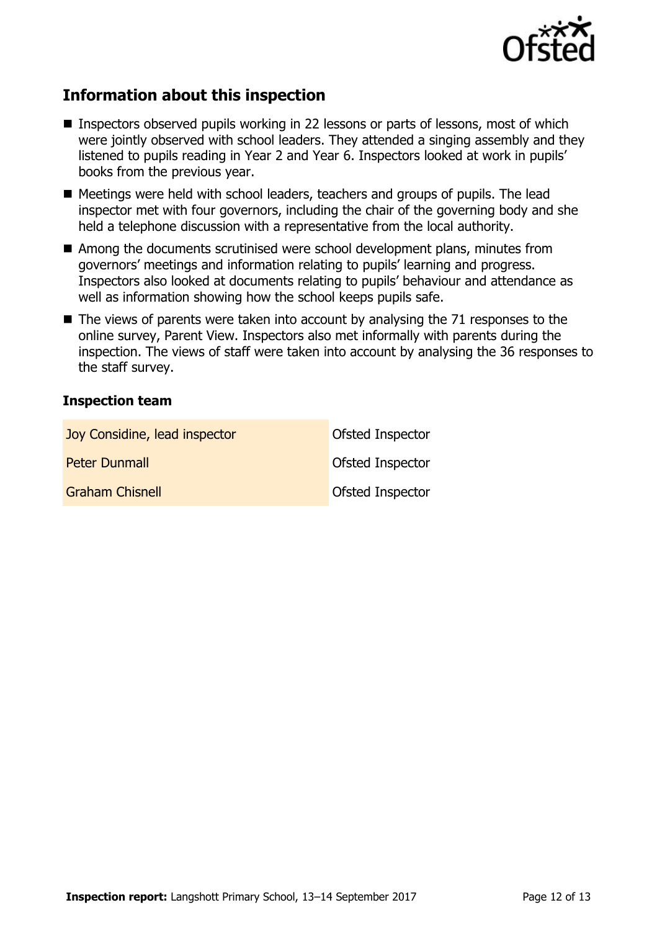

# **Information about this inspection**

- **Inspectors observed pupils working in 22 lessons or parts of lessons, most of which** were jointly observed with school leaders. They attended a singing assembly and they listened to pupils reading in Year 2 and Year 6. Inspectors looked at work in pupils' books from the previous year.
- Meetings were held with school leaders, teachers and groups of pupils. The lead inspector met with four governors, including the chair of the governing body and she held a telephone discussion with a representative from the local authority.
- Among the documents scrutinised were school development plans, minutes from governors' meetings and information relating to pupils' learning and progress. Inspectors also looked at documents relating to pupils' behaviour and attendance as well as information showing how the school keeps pupils safe.
- $\blacksquare$  The views of parents were taken into account by analysing the 71 responses to the online survey, Parent View. Inspectors also met informally with parents during the inspection. The views of staff were taken into account by analysing the 36 responses to the staff survey.

#### **Inspection team**

| Joy Considine, lead inspector | Ofsted Inspector        |
|-------------------------------|-------------------------|
| <b>Peter Dunmall</b>          | Ofsted Inspector        |
| <b>Graham Chisnell</b>        | <b>Ofsted Inspector</b> |